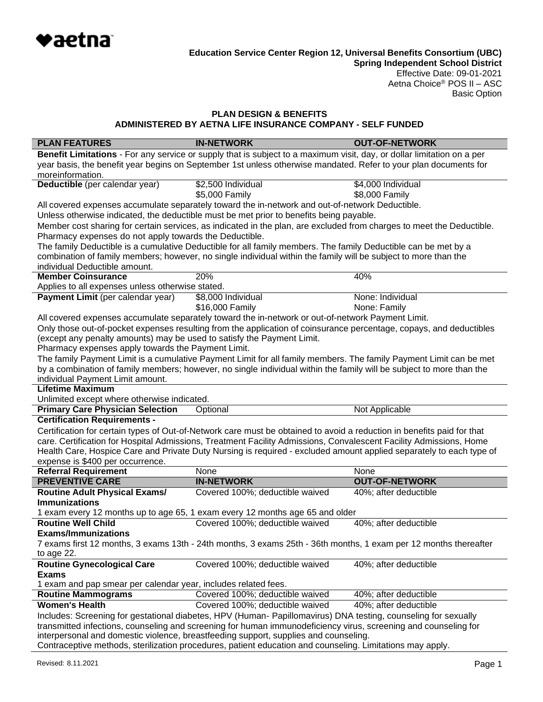

**Spring Independent School District** Effective Date: 09-01-2021 Aetna Choice® POS II – ASC Basic Option

### **PLAN DESIGN & BENEFITS ADMINISTERED BY AETNA LIFE INSURANCE COMPANY - SELF FUNDED**

| <b>PLAN FEATURES</b>                                                                                             | <b>IN-NETWORK</b>                                                                                                      | <b>OUT-OF-NETWORK</b> |  |
|------------------------------------------------------------------------------------------------------------------|------------------------------------------------------------------------------------------------------------------------|-----------------------|--|
|                                                                                                                  | Benefit Limitations - For any service or supply that is subject to a maximum visit, day, or dollar limitation on a per |                       |  |
| year basis, the benefit year begins on September 1st unless otherwise mandated. Refer to your plan documents for |                                                                                                                        |                       |  |
| moreinformation.                                                                                                 |                                                                                                                        |                       |  |
| Deductible (per calendar year)                                                                                   | \$2,500 Individual                                                                                                     | \$4,000 Individual    |  |
|                                                                                                                  | \$5,000 Family                                                                                                         | \$8,000 Family        |  |
|                                                                                                                  | All covered expenses accumulate separately toward the in-network and out-of-network Deductible.                        |                       |  |
|                                                                                                                  | Unless otherwise indicated, the deductible must be met prior to benefits being payable.                                |                       |  |
|                                                                                                                  | Member cost sharing for certain services, as indicated in the plan, are excluded from charges to meet the Deductible.  |                       |  |
| Pharmacy expenses do not apply towards the Deductible.                                                           |                                                                                                                        |                       |  |
|                                                                                                                  | The family Deductible is a cumulative Deductible for all family members. The family Deductible can be met by a         |                       |  |
|                                                                                                                  | combination of family members; however, no single individual within the family will be subject to more than the        |                       |  |
| individual Deductible amount.                                                                                    |                                                                                                                        |                       |  |
| <b>Member Coinsurance</b>                                                                                        | 20%                                                                                                                    | 40%                   |  |
| Applies to all expenses unless otherwise stated.                                                                 |                                                                                                                        |                       |  |
| Payment Limit (per calendar year)                                                                                | \$8,000 Individual                                                                                                     | None: Individual      |  |
|                                                                                                                  | \$16,000 Family                                                                                                        | None: Family          |  |
|                                                                                                                  | All covered expenses accumulate separately toward the in-network or out-of-network Payment Limit.                      |                       |  |
|                                                                                                                  | Only those out-of-pocket expenses resulting from the application of coinsurance percentage, copays, and deductibles    |                       |  |
| (except any penalty amounts) may be used to satisfy the Payment Limit.                                           |                                                                                                                        |                       |  |
| Pharmacy expenses apply towards the Payment Limit.                                                               |                                                                                                                        |                       |  |
|                                                                                                                  | The family Payment Limit is a cumulative Payment Limit for all family members. The family Payment Limit can be met     |                       |  |
|                                                                                                                  | by a combination of family members; however, no single individual within the family will be subject to more than the   |                       |  |
| individual Payment Limit amount.                                                                                 |                                                                                                                        |                       |  |
| <b>Lifetime Maximum</b>                                                                                          |                                                                                                                        |                       |  |
| Unlimited except where otherwise indicated.<br><b>Primary Care Physician Selection</b>                           |                                                                                                                        | Not Applicable        |  |
| <b>Certification Requirements -</b>                                                                              | Optional                                                                                                               |                       |  |
|                                                                                                                  | Certification for certain types of Out-of-Network care must be obtained to avoid a reduction in benefits paid for that |                       |  |
|                                                                                                                  | care. Certification for Hospital Admissions, Treatment Facility Admissions, Convalescent Facility Admissions, Home     |                       |  |
|                                                                                                                  | Health Care, Hospice Care and Private Duty Nursing is required - excluded amount applied separately to each type of    |                       |  |
| expense is \$400 per occurrence.                                                                                 |                                                                                                                        |                       |  |
| <b>Referral Requirement</b>                                                                                      | None                                                                                                                   | None                  |  |
| <b>PREVENTIVE CARE</b>                                                                                           | <b>IN-NETWORK</b>                                                                                                      | <b>OUT-OF-NETWORK</b> |  |
| <b>Routine Adult Physical Exams/</b>                                                                             | Covered 100%; deductible waived                                                                                        | 40%; after deductible |  |
| <b>Immunizations</b>                                                                                             |                                                                                                                        |                       |  |
|                                                                                                                  | 1 exam every 12 months up to age 65, 1 exam every 12 months age 65 and older                                           |                       |  |
| <b>Routine Well Child</b>                                                                                        | Covered 100%; deductible waived                                                                                        | 40%; after deductible |  |
| <b>Exams/Immunizations</b>                                                                                       |                                                                                                                        |                       |  |
|                                                                                                                  | 7 exams first 12 months, 3 exams 13th - 24th months, 3 exams 25th - 36th months, 1 exam per 12 months thereafter       |                       |  |
| to age 22.                                                                                                       |                                                                                                                        |                       |  |
| <b>Routine Gynecological Care</b>                                                                                | Covered 100%; deductible waived                                                                                        | 40%; after deductible |  |
| <b>Exams</b>                                                                                                     |                                                                                                                        |                       |  |
| 1 exam and pap smear per calendar year, includes related fees.                                                   |                                                                                                                        |                       |  |
| <b>Routine Mammograms</b>                                                                                        | Covered 100%; deductible waived                                                                                        | 40%; after deductible |  |
| <b>Women's Health</b>                                                                                            | Covered 100%; deductible waived                                                                                        | 40%; after deductible |  |
|                                                                                                                  | Includes: Screening for gestational diabetes, HPV (Human- Papillomavirus) DNA testing, counseling for sexually         |                       |  |
| transmitted infections, counseling and screening for human immunodeficiency virus, screening and counseling for  |                                                                                                                        |                       |  |
|                                                                                                                  | interpersonal and domestic violence, breastfeeding support, supplies and counseling.                                   |                       |  |
|                                                                                                                  | Contracentive methods, starilization procedures, patient education and counseling. Limitations may apply               |                       |  |

Contraceptive methods, sterilization procedures, patient education and counseling. Limitations may apply.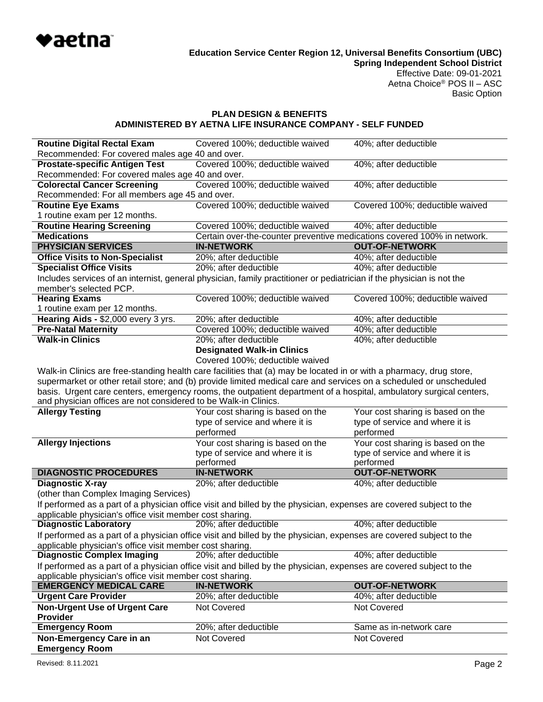

Basic Option

## **PLAN DESIGN & BENEFITS ADMINISTERED BY AETNA LIFE INSURANCE COMPANY - SELF FUNDED**

| <b>Routine Digital Rectal Exam</b>                                                                                  | Covered 100%; deductible waived                                                                                       | 40%; after deductible             |  |  |
|---------------------------------------------------------------------------------------------------------------------|-----------------------------------------------------------------------------------------------------------------------|-----------------------------------|--|--|
| Recommended: For covered males age 40 and over.                                                                     |                                                                                                                       |                                   |  |  |
| Covered 100%; deductible waived<br><b>Prostate-specific Antigen Test</b><br>40%; after deductible                   |                                                                                                                       |                                   |  |  |
| Recommended: For covered males age 40 and over.                                                                     |                                                                                                                       |                                   |  |  |
| Covered 100%; deductible waived<br>40%; after deductible<br><b>Colorectal Cancer Screening</b>                      |                                                                                                                       |                                   |  |  |
| Recommended: For all members age 45 and over.                                                                       |                                                                                                                       |                                   |  |  |
| <b>Routine Eye Exams</b>                                                                                            | Covered 100%; deductible waived                                                                                       | Covered 100%; deductible waived   |  |  |
| 1 routine exam per 12 months.                                                                                       |                                                                                                                       |                                   |  |  |
| <b>Routine Hearing Screening</b>                                                                                    | Covered 100%; deductible waived<br>40%; after deductible                                                              |                                   |  |  |
| <b>Medications</b>                                                                                                  | Certain over-the-counter preventive medications covered 100% in network.                                              |                                   |  |  |
| <b>PHYSICIAN SERVICES</b>                                                                                           | <b>IN-NETWORK</b>                                                                                                     | <b>OUT-OF-NETWORK</b>             |  |  |
| <b>Office Visits to Non-Specialist</b>                                                                              | 20%; after deductible                                                                                                 | 40%; after deductible             |  |  |
| <b>Specialist Office Visits</b>                                                                                     | 20%; after deductible                                                                                                 | 40%; after deductible             |  |  |
|                                                                                                                     | Includes services of an internist, general physician, family practitioner or pediatrician if the physician is not the |                                   |  |  |
| member's selected PCP.                                                                                              |                                                                                                                       |                                   |  |  |
| <b>Hearing Exams</b>                                                                                                | Covered 100%; deductible waived                                                                                       | Covered 100%; deductible waived   |  |  |
| 1 routine exam per 12 months.                                                                                       |                                                                                                                       |                                   |  |  |
| Hearing Aids - \$2,000 every 3 yrs.                                                                                 | 20%; after deductible                                                                                                 | 40%; after deductible             |  |  |
| <b>Pre-Natal Maternity</b>                                                                                          | Covered 100%; deductible waived                                                                                       | 40%; after deductible             |  |  |
| <b>Walk-in Clinics</b>                                                                                              | 20%; after deductible                                                                                                 | 40%; after deductible             |  |  |
|                                                                                                                     | <b>Designated Walk-in Clinics</b>                                                                                     |                                   |  |  |
|                                                                                                                     | Covered 100%; deductible waived                                                                                       |                                   |  |  |
|                                                                                                                     | Walk-in Clinics are free-standing health care facilities that (a) may be located in or with a pharmacy, drug store,   |                                   |  |  |
|                                                                                                                     | supermarket or other retail store; and (b) provide limited medical care and services on a scheduled or unscheduled    |                                   |  |  |
|                                                                                                                     | basis. Urgent care centers, emergency rooms, the outpatient department of a hospital, ambulatory surgical centers,    |                                   |  |  |
| and physician offices are not considered to be Walk-in Clinics.                                                     |                                                                                                                       |                                   |  |  |
| <b>Allergy Testing</b>                                                                                              | Your cost sharing is based on the                                                                                     | Your cost sharing is based on the |  |  |
|                                                                                                                     | type of service and where it is                                                                                       | type of service and where it is   |  |  |
|                                                                                                                     | performed                                                                                                             | performed                         |  |  |
| <b>Allergy Injections</b>                                                                                           | Your cost sharing is based on the                                                                                     | Your cost sharing is based on the |  |  |
|                                                                                                                     | type of service and where it is                                                                                       | type of service and where it is   |  |  |
|                                                                                                                     | performed                                                                                                             | performed                         |  |  |
| <b>DIAGNOSTIC PROCEDURES</b>                                                                                        | <b>IN-NETWORK</b>                                                                                                     | <b>OUT-OF-NETWORK</b>             |  |  |
| <b>Diagnostic X-ray</b>                                                                                             | 20%; after deductible                                                                                                 | 40%; after deductible             |  |  |
| (other than Complex Imaging Services)                                                                               |                                                                                                                       |                                   |  |  |
| If performed as a part of a physician office visit and billed by the physician, expenses are covered subject to the |                                                                                                                       |                                   |  |  |
| applicable physician's office visit member cost sharing.                                                            |                                                                                                                       |                                   |  |  |
| <b>Diagnostic Laboratory</b>                                                                                        | 20%; after deductible                                                                                                 | 40%; after deductible             |  |  |
|                                                                                                                     | If performed as a part of a physician office visit and billed by the physician, expenses are covered subject to the   |                                   |  |  |
|                                                                                                                     | applicable physician's office visit member cost sharing.                                                              |                                   |  |  |
| <b>Diagnostic Complex Imaging</b>                                                                                   |                                                                                                                       |                                   |  |  |
|                                                                                                                     | 20%; after deductible                                                                                                 | 40%; after deductible             |  |  |
|                                                                                                                     | If performed as a part of a physician office visit and billed by the physician, expenses are covered subject to the   |                                   |  |  |
| applicable physician's office visit member cost sharing.                                                            |                                                                                                                       |                                   |  |  |
| <b>EMERGENCY MEDICAL CARE</b>                                                                                       | <b>IN-NETWORK</b>                                                                                                     | <b>OUT-OF-NETWORK</b>             |  |  |
| <b>Urgent Care Provider</b>                                                                                         | 20%; after deductible                                                                                                 | 40%; after deductible             |  |  |
| <b>Non-Urgent Use of Urgent Care</b>                                                                                | Not Covered                                                                                                           | Not Covered                       |  |  |
| <b>Provider</b>                                                                                                     |                                                                                                                       |                                   |  |  |
| <b>Emergency Room</b>                                                                                               | 20%; after deductible                                                                                                 | Same as in-network care           |  |  |
| Non-Emergency Care in an<br><b>Emergency Room</b>                                                                   | Not Covered                                                                                                           | Not Covered                       |  |  |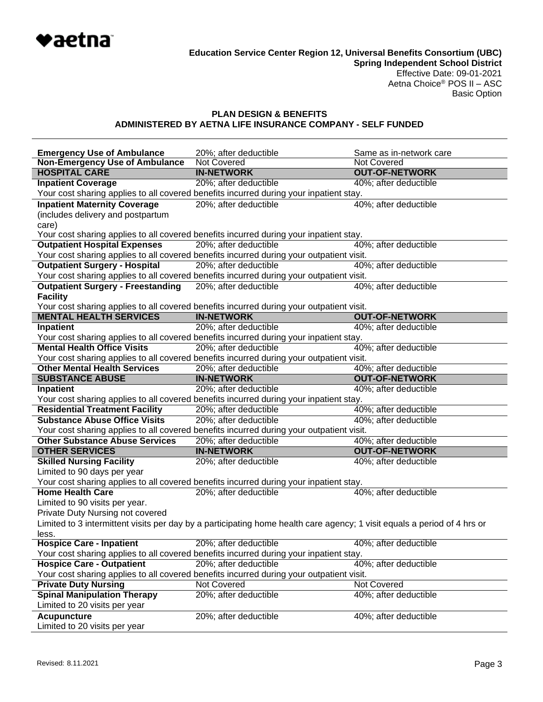

## **PLAN DESIGN & BENEFITS ADMINISTERED BY AETNA LIFE INSURANCE COMPANY - SELF FUNDED**

| <b>Emergency Use of Ambulance</b><br><b>Non-Emergency Use of Ambulance</b> | 20%; after deductible<br>Not Covered                                                                                     | Same as in-network care<br>Not Covered         |
|----------------------------------------------------------------------------|--------------------------------------------------------------------------------------------------------------------------|------------------------------------------------|
| <b>HOSPITAL CARE</b>                                                       | <b>IN-NETWORK</b>                                                                                                        | <b>OUT-OF-NETWORK</b>                          |
| <b>Inpatient Coverage</b>                                                  | 20%; after deductible                                                                                                    | 40%; after deductible                          |
|                                                                            | Your cost sharing applies to all covered benefits incurred during your inpatient stay.                                   |                                                |
| <b>Inpatient Maternity Coverage</b>                                        | 20%; after deductible                                                                                                    | 40%; after deductible                          |
| (includes delivery and postpartum                                          |                                                                                                                          |                                                |
| care)                                                                      |                                                                                                                          |                                                |
|                                                                            | Your cost sharing applies to all covered benefits incurred during your inpatient stay.                                   |                                                |
| <b>Outpatient Hospital Expenses</b>                                        | 20%; after deductible                                                                                                    | 40%; after deductible                          |
|                                                                            | Your cost sharing applies to all covered benefits incurred during your outpatient visit.                                 |                                                |
| <b>Outpatient Surgery - Hospital</b>                                       | 20%; after deductible                                                                                                    | 40%; after deductible                          |
|                                                                            | Your cost sharing applies to all covered benefits incurred during your outpatient visit.                                 |                                                |
| <b>Outpatient Surgery - Freestanding</b>                                   | 20%; after deductible                                                                                                    | 40%; after deductible                          |
| <b>Facility</b>                                                            |                                                                                                                          |                                                |
|                                                                            | Your cost sharing applies to all covered benefits incurred during your outpatient visit.                                 |                                                |
| <b>MENTAL HEALTH SERVICES</b>                                              | <b>IN-NETWORK</b>                                                                                                        | <b>OUT-OF-NETWORK</b>                          |
| <b>Inpatient</b>                                                           | 20%; after deductible                                                                                                    | 40%; after deductible                          |
|                                                                            | Your cost sharing applies to all covered benefits incurred during your inpatient stay.                                   |                                                |
| <b>Mental Health Office Visits</b>                                         | 20%; after deductible                                                                                                    | 40%; after deductible                          |
|                                                                            | Your cost sharing applies to all covered benefits incurred during your outpatient visit.                                 |                                                |
| <b>Other Mental Health Services</b><br><b>SUBSTANCE ABUSE</b>              | 20%; after deductible<br><b>IN-NETWORK</b>                                                                               | 40%; after deductible<br><b>OUT-OF-NETWORK</b> |
| <b>Inpatient</b>                                                           | 20%; after deductible                                                                                                    | 40%; after deductible                          |
|                                                                            | Your cost sharing applies to all covered benefits incurred during your inpatient stay.                                   |                                                |
| <b>Residential Treatment Facility</b>                                      | 20%; after deductible                                                                                                    | 40%; after deductible                          |
| <b>Substance Abuse Office Visits</b>                                       | 20%; after deductible                                                                                                    | 40%; after deductible                          |
|                                                                            | Your cost sharing applies to all covered benefits incurred during your outpatient visit.                                 |                                                |
| <b>Other Substance Abuse Services</b>                                      | 20%; after deductible                                                                                                    | 40%; after deductible                          |
| <b>OTHER SERVICES</b>                                                      | <b>IN-NETWORK</b>                                                                                                        | <b>OUT-OF-NETWORK</b>                          |
| <b>Skilled Nursing Facility</b>                                            | 20%; after deductible                                                                                                    | 40%; after deductible                          |
| Limited to 90 days per year                                                |                                                                                                                          |                                                |
|                                                                            | Your cost sharing applies to all covered benefits incurred during your inpatient stay.                                   |                                                |
| <b>Home Health Care</b>                                                    | 20%; after deductible                                                                                                    | 40%; after deductible                          |
| Limited to 90 visits per year.                                             |                                                                                                                          |                                                |
| Private Duty Nursing not covered                                           |                                                                                                                          |                                                |
|                                                                            | Limited to 3 intermittent visits per day by a participating home health care agency; 1 visit equals a period of 4 hrs or |                                                |
| less.                                                                      |                                                                                                                          |                                                |
| <b>Hospice Care - Inpatient</b>                                            | 20%; after deductible                                                                                                    | 40%; after deductible                          |
|                                                                            | Your cost sharing applies to all covered benefits incurred during your inpatient stay.                                   |                                                |
| <b>Hospice Care - Outpatient</b>                                           | 20%; after deductible                                                                                                    | 40%; after deductible                          |
|                                                                            | Your cost sharing applies to all covered benefits incurred during your outpatient visit.                                 |                                                |
| <b>Private Duty Nursing</b>                                                | Not Covered                                                                                                              | Not Covered                                    |
| <b>Spinal Manipulation Therapy</b><br>Limited to 20 visits per year        | 20%; after deductible                                                                                                    | 40%; after deductible                          |
|                                                                            |                                                                                                                          | 40%; after deductible                          |
| <b>Acupuncture</b><br>Limited to 20 visits per year                        | 20%; after deductible                                                                                                    |                                                |
|                                                                            |                                                                                                                          |                                                |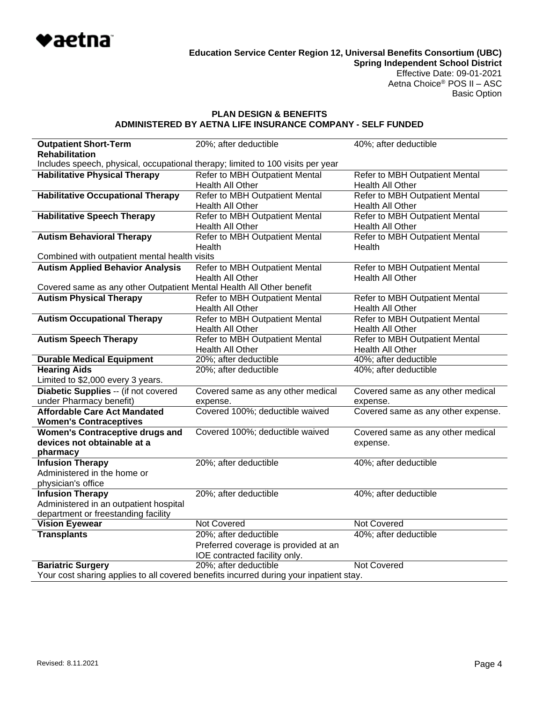

### **PLAN DESIGN & BENEFITS ADMINISTERED BY AETNA LIFE INSURANCE COMPANY - SELF FUNDED**

| <b>Outpatient Short-Term</b>                                                    | 20%; after deductible                                                                  | 40%; after deductible             |  |
|---------------------------------------------------------------------------------|----------------------------------------------------------------------------------------|-----------------------------------|--|
| <b>Rehabilitation</b>                                                           |                                                                                        |                                   |  |
| Includes speech, physical, occupational therapy; limited to 100 visits per year |                                                                                        |                                   |  |
| <b>Habilitative Physical Therapy</b>                                            | Refer to MBH Outpatient Mental                                                         | Refer to MBH Outpatient Mental    |  |
|                                                                                 | Health All Other                                                                       | Health All Other                  |  |
| <b>Habilitative Occupational Therapy</b>                                        | Refer to MBH Outpatient Mental                                                         | Refer to MBH Outpatient Mental    |  |
|                                                                                 | Health All Other                                                                       | Health All Other                  |  |
| <b>Habilitative Speech Therapy</b>                                              | Refer to MBH Outpatient Mental                                                         | Refer to MBH Outpatient Mental    |  |
|                                                                                 | Health All Other                                                                       | Health All Other                  |  |
| <b>Autism Behavioral Therapy</b>                                                | Refer to MBH Outpatient Mental                                                         | Refer to MBH Outpatient Mental    |  |
|                                                                                 | Health                                                                                 | Health                            |  |
| Combined with outpatient mental health visits                                   |                                                                                        |                                   |  |
| <b>Autism Applied Behavior Analysis</b>                                         | Refer to MBH Outpatient Mental                                                         | Refer to MBH Outpatient Mental    |  |
|                                                                                 | Health All Other                                                                       | Health All Other                  |  |
| Covered same as any other Outpatient Mental Health All Other benefit            |                                                                                        |                                   |  |
| <b>Autism Physical Therapy</b>                                                  | Refer to MBH Outpatient Mental                                                         | Refer to MBH Outpatient Mental    |  |
|                                                                                 | Health All Other                                                                       | Health All Other                  |  |
| <b>Autism Occupational Therapy</b>                                              | Refer to MBH Outpatient Mental                                                         | Refer to MBH Outpatient Mental    |  |
|                                                                                 | Health All Other                                                                       | Health All Other                  |  |
| <b>Autism Speech Therapy</b>                                                    | Refer to MBH Outpatient Mental                                                         | Refer to MBH Outpatient Mental    |  |
|                                                                                 | Health All Other                                                                       | Health All Other                  |  |
| <b>Durable Medical Equipment</b>                                                | 20%; after deductible                                                                  | 40%; after deductible             |  |
| <b>Hearing Aids</b>                                                             | 20%; after deductible                                                                  | 40%; after deductible             |  |
| Limited to \$2,000 every 3 years.                                               |                                                                                        |                                   |  |
| Diabetic Supplies -- (if not covered                                            | Covered same as any other medical                                                      | Covered same as any other medical |  |
| under Pharmacy benefit)                                                         | expense.                                                                               | expense.                          |  |
| <b>Affordable Care Act Mandated</b>                                             | Covered 100%; deductible waived<br>Covered same as any other expense.                  |                                   |  |
| <b>Women's Contraceptives</b>                                                   |                                                                                        |                                   |  |
| <b>Women's Contraceptive drugs and</b>                                          | Covered 100%; deductible waived                                                        | Covered same as any other medical |  |
| devices not obtainable at a                                                     |                                                                                        | expense.                          |  |
| pharmacy                                                                        |                                                                                        |                                   |  |
| <b>Infusion Therapy</b>                                                         | 20%; after deductible                                                                  | 40%; after deductible             |  |
| Administered in the home or                                                     |                                                                                        |                                   |  |
| physician's office                                                              |                                                                                        |                                   |  |
| <b>Infusion Therapy</b>                                                         | 20%; after deductible                                                                  | 40%; after deductible             |  |
| Administered in an outpatient hospital                                          |                                                                                        |                                   |  |
| department or freestanding facility                                             |                                                                                        |                                   |  |
| <b>Vision Eyewear</b>                                                           | <b>Not Covered</b>                                                                     | <b>Not Covered</b>                |  |
| <b>Transplants</b>                                                              | 20%; after deductible                                                                  | 40%; after deductible             |  |
|                                                                                 | Preferred coverage is provided at an                                                   |                                   |  |
|                                                                                 | IOE contracted facility only.                                                          |                                   |  |
| <b>Bariatric Surgery</b>                                                        | 20%; after deductible                                                                  | <b>Not Covered</b>                |  |
|                                                                                 | Your cost sharing applies to all covered benefits incurred during your inpatient stay. |                                   |  |
|                                                                                 |                                                                                        |                                   |  |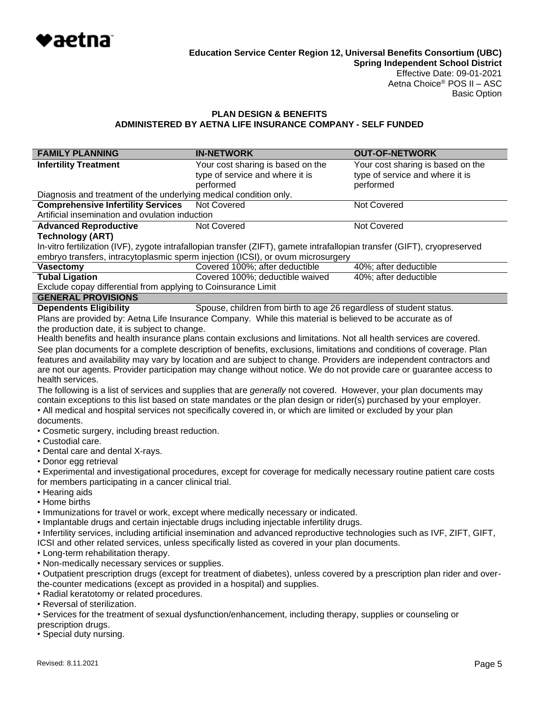

# **PLAN DESIGN & BENEFITS ADMINISTERED BY AETNA LIFE INSURANCE COMPANY - SELF FUNDED**

| <b>FAMILY PLANNING</b>                                                                                                                                                                                | <b>IN-NETWORK</b>                                                                                                         | <b>OUT-OF-NETWORK</b>             |  |
|-------------------------------------------------------------------------------------------------------------------------------------------------------------------------------------------------------|---------------------------------------------------------------------------------------------------------------------------|-----------------------------------|--|
| <b>Infertility Treatment</b>                                                                                                                                                                          | Your cost sharing is based on the                                                                                         | Your cost sharing is based on the |  |
|                                                                                                                                                                                                       | type of service and where it is                                                                                           | type of service and where it is   |  |
|                                                                                                                                                                                                       | performed                                                                                                                 | performed                         |  |
| Diagnosis and treatment of the underlying medical condition only.                                                                                                                                     |                                                                                                                           |                                   |  |
| <b>Comprehensive Infertility Services</b>                                                                                                                                                             | <b>Not Covered</b>                                                                                                        | <b>Not Covered</b>                |  |
| Artificial insemination and ovulation induction                                                                                                                                                       |                                                                                                                           |                                   |  |
| <b>Advanced Reproductive</b><br><b>Technology (ART)</b>                                                                                                                                               | Not Covered                                                                                                               | Not Covered                       |  |
|                                                                                                                                                                                                       | In-vitro fertilization (IVF), zygote intrafallopian transfer (ZIFT), gamete intrafallopian transfer (GIFT), cryopreserved |                                   |  |
|                                                                                                                                                                                                       | embryo transfers, intracytoplasmic sperm injection (ICSI), or ovum microsurgery                                           |                                   |  |
| <b>Vasectomy</b>                                                                                                                                                                                      | Covered 100%; after deductible                                                                                            | 40%; after deductible             |  |
| <b>Tubal Ligation</b>                                                                                                                                                                                 | Covered 100%; deductible waived                                                                                           | 40%; after deductible             |  |
| Exclude copay differential from applying to Coinsurance Limit                                                                                                                                         |                                                                                                                           |                                   |  |
| <b>GENERAL PROVISIONS</b>                                                                                                                                                                             |                                                                                                                           |                                   |  |
| <b>Dependents Eligibility</b>                                                                                                                                                                         | Spouse, children from birth to age 26 regardless of student status.                                                       |                                   |  |
|                                                                                                                                                                                                       | Plans are provided by: Aetna Life Insurance Company. While this material is believed to be accurate as of                 |                                   |  |
| the production date, it is subject to change.                                                                                                                                                         |                                                                                                                           |                                   |  |
|                                                                                                                                                                                                       | Health benefits and health insurance plans contain exclusions and limitations. Not all health services are covered.       |                                   |  |
|                                                                                                                                                                                                       | See plan documents for a complete description of benefits, exclusions, limitations and conditions of coverage. Plan       |                                   |  |
|                                                                                                                                                                                                       | features and availability may vary by location and are subject to change. Providers are independent contractors and       |                                   |  |
| health services.                                                                                                                                                                                      | are not our agents. Provider participation may change without notice. We do not provide care or guarantee access to       |                                   |  |
|                                                                                                                                                                                                       | The following is a list of services and supplies that are <i>generally</i> not covered. However, your plan documents may  |                                   |  |
|                                                                                                                                                                                                       | contain exceptions to this list based on state mandates or the plan design or rider(s) purchased by your employer.        |                                   |  |
|                                                                                                                                                                                                       | • All medical and hospital services not specifically covered in, or which are limited or excluded by your plan            |                                   |  |
| documents.                                                                                                                                                                                            |                                                                                                                           |                                   |  |
| • Cosmetic surgery, including breast reduction.                                                                                                                                                       |                                                                                                                           |                                   |  |
| • Custodial care.                                                                                                                                                                                     |                                                                                                                           |                                   |  |
| • Dental care and dental X-rays.                                                                                                                                                                      |                                                                                                                           |                                   |  |
| • Donor egg retrieval                                                                                                                                                                                 |                                                                                                                           |                                   |  |
|                                                                                                                                                                                                       | • Experimental and investigational procedures, except for coverage for medically necessary routine patient care costs     |                                   |  |
| for members participating in a cancer clinical trial.                                                                                                                                                 |                                                                                                                           |                                   |  |
| • Hearing aids                                                                                                                                                                                        |                                                                                                                           |                                   |  |
| • Home births                                                                                                                                                                                         |                                                                                                                           |                                   |  |
|                                                                                                                                                                                                       | . Immunizations for travel or work, except where medically necessary or indicated.                                        |                                   |  |
|                                                                                                                                                                                                       | . Implantable drugs and certain injectable drugs including injectable infertility drugs.                                  |                                   |  |
|                                                                                                                                                                                                       | • Infertility services, including artificial insemination and advanced reproductive technologies such as IVF, ZIFT, GIFT, |                                   |  |
| ICSI and other related services, unless specifically listed as covered in your plan documents.                                                                                                        |                                                                                                                           |                                   |  |
| • Long-term rehabilitation therapy.<br>• Non-medically necessary services or supplies.                                                                                                                |                                                                                                                           |                                   |  |
|                                                                                                                                                                                                       |                                                                                                                           |                                   |  |
| • Outpatient prescription drugs (except for treatment of diabetes), unless covered by a prescription plan rider and over-<br>the-counter medications (except as provided in a hospital) and supplies. |                                                                                                                           |                                   |  |
| • Radial keratotomy or related procedures.                                                                                                                                                            |                                                                                                                           |                                   |  |
| • Reversal of sterilization.                                                                                                                                                                          |                                                                                                                           |                                   |  |
| • Services for the treatment of sexual dysfunction/enhancement, including therapy, supplies or counseling or                                                                                          |                                                                                                                           |                                   |  |

prescription drugs.

• Special duty nursing.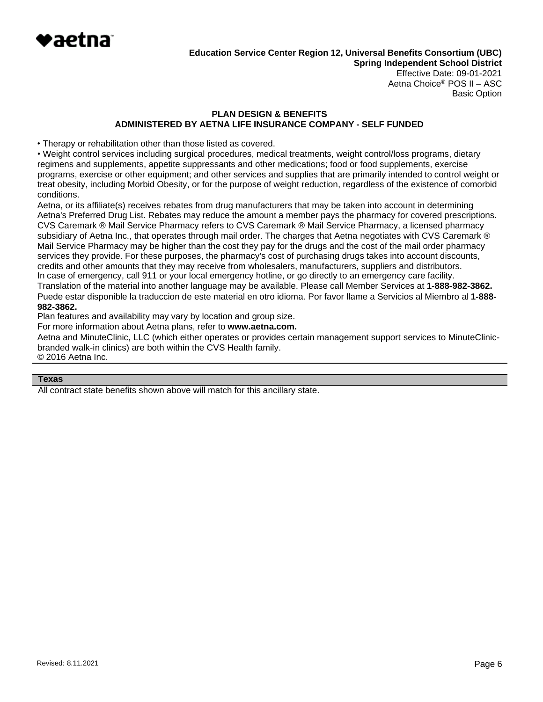

Basic Option

## **PLAN DESIGN & BENEFITS ADMINISTERED BY AETNA LIFE INSURANCE COMPANY - SELF FUNDED**

• Therapy or rehabilitation other than those listed as covered.

• Weight control services including surgical procedures, medical treatments, weight control/loss programs, dietary regimens and supplements, appetite suppressants and other medications; food or food supplements, exercise programs, exercise or other equipment; and other services and supplies that are primarily intended to control weight or treat obesity, including Morbid Obesity, or for the purpose of weight reduction, regardless of the existence of comorbid conditions.

Aetna, or its affiliate(s) receives rebates from drug manufacturers that may be taken into account in determining Aetna's Preferred Drug List. Rebates may reduce the amount a member pays the pharmacy for covered prescriptions. CVS Caremark ® Mail Service Pharmacy refers to CVS Caremark ® Mail Service Pharmacy, a licensed pharmacy subsidiary of Aetna Inc., that operates through mail order. The charges that Aetna negotiates with CVS Caremark ® Mail Service Pharmacy may be higher than the cost they pay for the drugs and the cost of the mail order pharmacy services they provide. For these purposes, the pharmacy's cost of purchasing drugs takes into account discounts, credits and other amounts that they may receive from wholesalers, manufacturers, suppliers and distributors. In case of emergency, call 911 or your local emergency hotline, or go directly to an emergency care facility. Translation of the material into another language may be available. Please call Member Services at **1-888-982-3862.** Puede estar disponible la traduccion de este material en otro idioma. Por favor llame a Servicios al Miembro al **1-888- 982-3862.**

Plan features and availability may vary by location and group size.

For more information about Aetna plans, refer to **[www.aetna.com.](http://www.aetna.com/)**

Aetna and MinuteClinic, LLC (which either operates or provides certain management support services to MinuteClinicbranded walk-in clinics) are both within the CVS Health family. © 2016 Aetna Inc.

#### **Texas**

All contract state benefits shown above will match for this ancillary state.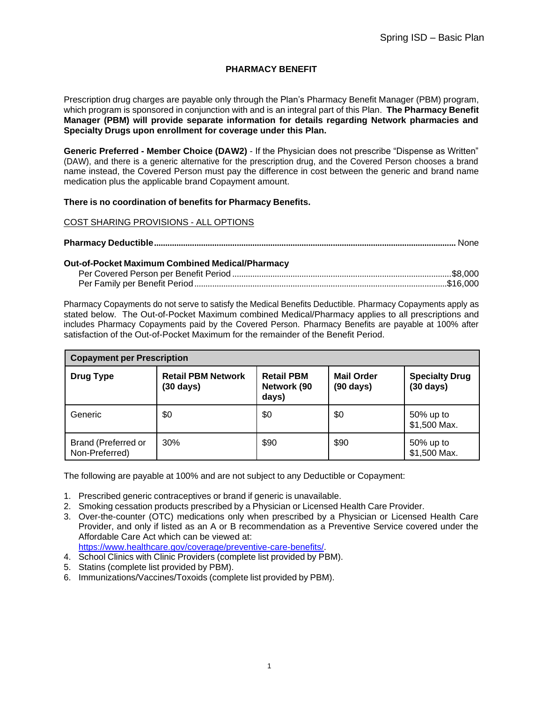# **PHARMACY BENEFIT**

Prescription drug charges are payable only through the Plan's Pharmacy Benefit Manager (PBM) program, which program is sponsored in conjunction with and is an integral part of this Plan. **The Pharmacy Benefit Manager (PBM) will provide separate information for details regarding Network pharmacies and Specialty Drugs upon enrollment for coverage under this Plan.**

**Generic Preferred - Member Choice (DAW2)** - If the Physician does not prescribe "Dispense as Written" (DAW), and there is a generic alternative for the prescription drug, and the Covered Person chooses a brand name instead, the Covered Person must pay the difference in cost between the generic and brand name medication plus the applicable brand Copayment amount.

### **There is no coordination of benefits for Pharmacy Benefits.**

### COST SHARING PROVISIONS - ALL OPTIONS

|--|

#### **Out-of-Pocket Maximum Combined Medical/Pharmacy**

Pharmacy Copayments do not serve to satisfy the Medical Benefits Deductible. Pharmacy Copayments apply as stated below. The Out-of-Pocket Maximum combined Medical/Pharmacy applies to all prescriptions and includes Pharmacy Copayments paid by the Covered Person. Pharmacy Benefits are payable at 100% after satisfaction of the Out-of-Pocket Maximum for the remainder of the Benefit Period.

| <b>Copayment per Prescription</b>     |                                                  |                                           |                                          |                                              |
|---------------------------------------|--------------------------------------------------|-------------------------------------------|------------------------------------------|----------------------------------------------|
| <b>Drug Type</b>                      | <b>Retail PBM Network</b><br>$(30 \text{ days})$ | <b>Retail PBM</b><br>Network (90<br>days) | <b>Mail Order</b><br>$(90 \text{ days})$ | <b>Specialty Drug</b><br>$(30 \text{ days})$ |
| Generic                               | \$0                                              | \$0                                       | \$0                                      | 50% up to<br>\$1,500 Max.                    |
| Brand (Preferred or<br>Non-Preferred) | 30%                                              | \$90                                      | \$90                                     | 50% up to<br>\$1,500 Max.                    |

The following are payable at 100% and are not subject to any Deductible or Copayment:

- 1. Prescribed generic contraceptives or brand if generic is unavailable.
- 2. Smoking cessation products prescribed by a Physician or Licensed Health Care Provider.
- 3. Over-the-counter (OTC) medications only when prescribed by a Physician or Licensed Health Care Provider, and only if listed as an A or B recommendation as a Preventive Service covered under the Affordable Care Act which can be viewed at: [https://www.healthcare.gov/coverage/preventive-care-benefits/.](http://www.healthcare.gov/coverage/preventive-care-benefits/)
- 4. School Clinics with Clinic Providers (complete list provided by PBM).
- 5. Statins (complete list provided by PBM).
- 6. Immunizations/Vaccines/Toxoids (complete list provided by PBM).